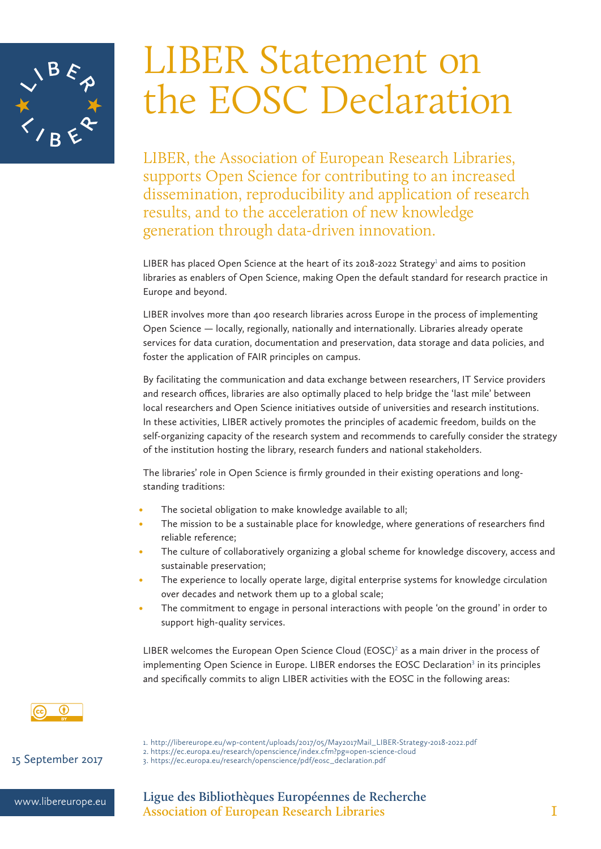

# LIBER Statement on the EOSC Declaration

LIBER, the Association of European Research Libraries, supports Open Science for contributing to an increased dissemination, reproducibility and application of research results, and to the acceleration of new knowledge generation through data-driven innovation.

LIBER has placed Open Science at the heart of its 2018-2022 Strategy<sup>1</sup> and aims to position libraries as enablers of Open Science, making Open the default standard for research practice in Europe and beyond.

LIBER involves more than 400 research libraries across Europe in the process of implementing Open Science — locally, regionally, nationally and internationally. Libraries already operate services for data curation, documentation and preservation, data storage and data policies, and foster the application of FAIR principles on campus.

By facilitating the communication and data exchange between researchers, IT Service providers and research offices, libraries are also optimally placed to help bridge the 'last mile' between local researchers and Open Science initiatives outside of universities and research institutions. In these activities, LIBER actively promotes the principles of academic freedom, builds on the self-organizing capacity of the research system and recommends to carefully consider the strategy of the institution hosting the library, research funders and national stakeholders.

The libraries' role in Open Science is firmly grounded in their existing operations and longstanding traditions:

- The societal obligation to make knowledge available to all;
- The mission to be a sustainable place for knowledge, where generations of researchers find reliable reference;
- The culture of collaboratively organizing a global scheme for knowledge discovery, access and sustainable preservation;
- The experience to locally operate large, digital enterprise systems for knowledge circulation over decades and network them up to a global scale;
- The commitment to engage in personal interactions with people 'on the ground' in order to support high-quality services.

LIBER welcomes the European Open Science Cloud  $(EOSC)^2$  as a main driver in the process of implementing Open Science in Europe. LIBER endorses the EOSC Declaration<sup>3</sup> in its principles and specifically commits to align LIBER activities with the EOSC in the following areas:



1. http://libereurope.eu/wp-content/uploads/2017/05/May2017Mail\_LIBER-Strategy-2018-2022.pdf 2. https://ec.europa.eu/research/openscience/index.cfm?pg=open-science-cloud 15 September 2017 3. https://ec.europa.eu/research/openscience/pdf/eosc\_declaration.pdf

www.libereurope.eu **Ligue des Bibliothèques Européennes de Recherche Association of European Research Libraries** 1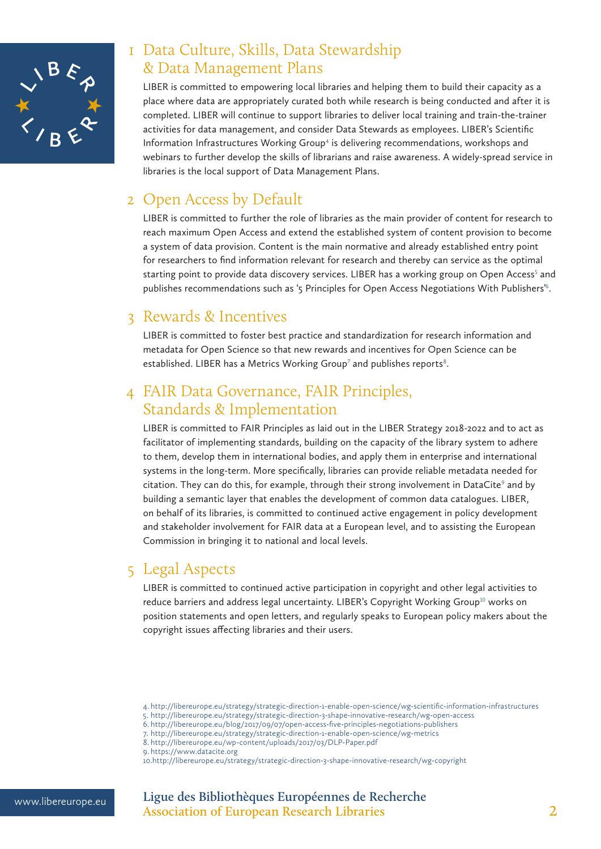

## 1 Data Culture, Skills, Data Stewardship & Data Management Plans

LIBER is committed to empowering local libraries and helping them to build their capacity as a place where data are appropriately curated both while research is being conducted and after it is completed. LIBER will continue to support libraries to deliver local training and train-the-trainer activities for data management, and consider Data Stewards as employees. LIBER's Scientific Information Infrastructures Working Group<sup>4</sup> is delivering recommendations, workshops and webinars to further develop the skills of librarians and raise awareness. A widely-spread service in libraries is the local support of Data Management Plans.

#### 2 Open Access by Default

LIBER is committed to further the role of libraries as the main provider of content for research to reach maximum Open Access and extend the established system of content provision to become a system of data provision. Content is the main normative and already established entry point for researchers to find information relevant for research and thereby can service as the optimal starting point to provide data discovery services. LIBER has a working group on Open Access<sup>5</sup> and publishes recommendations such as '5 Principles for Open Access Negotiations With Publishers'<sup>6</sup> .

#### 3 Rewards & Incentives

LIBER is committed to foster best practice and standardization for research information and metadata for Open Science so that new rewards and incentives for Open Science can be established. LIBER has a Metrics Working Group<sup>7</sup> and publishes reports<sup>8</sup>.

#### 4 FAIR Data Governance, FAIR Principles, Standards & Implementation

LIBER is committed to FAIR Principles as laid out in the LIBER Strategy 2018-2022 and to act as facilitator of implementing standards, building on the capacity of the library system to adhere to them, develop them in international bodies, and apply them in enterprise and international systems in the long-term. More specifically, libraries can provide reliable metadata needed for citation. They can do this, for example, through their strong involvement in DataCite<sup>9</sup> and by building a semantic layer that enables the development of common data catalogues. LIBER, on behalf of its libraries, is committed to continued active engagement in policy development and stakeholder involvement for FAIR data at a European level, and to assisting the European Commission in bringing it to national and local levels.

### 5 Legal Aspects

LIBER is committed to continued active participation in copyright and other legal activities to reduce barriers and address legal uncertainty. LIBER's Copyright Working Group<sup>10</sup> works on position statements and open letters, and regularly speaks to European policy makers about the copyright issues affecting libraries and their users.

<sup>4.</sup> http://libereurope.eu/strategy/strategic-direction-1-enable-open-science/wg-scientific-information-infrastructures 5. http://libereurope.eu/strategy/strategic-direction-3-shape-innovative-research/wg-open-access

<sup>6.</sup> http://libereurope.eu/blog/2017/09/07/open-access-five-principles-negotiations-publishers

<sup>7.</sup> http://libereurope.eu/strategy/strategic-direction-1-enable-open-science/wg-metrics

<sup>8.</sup> http://libereurope.eu/wp-content/uploads/2017/03/DLP-Paper.pdf

<sup>9.</sup> https://www.datacite.org

<sup>10.</sup>http://libereurope.eu/strategy/strategic-direction-3-shape-innovative-research/wg-copyright